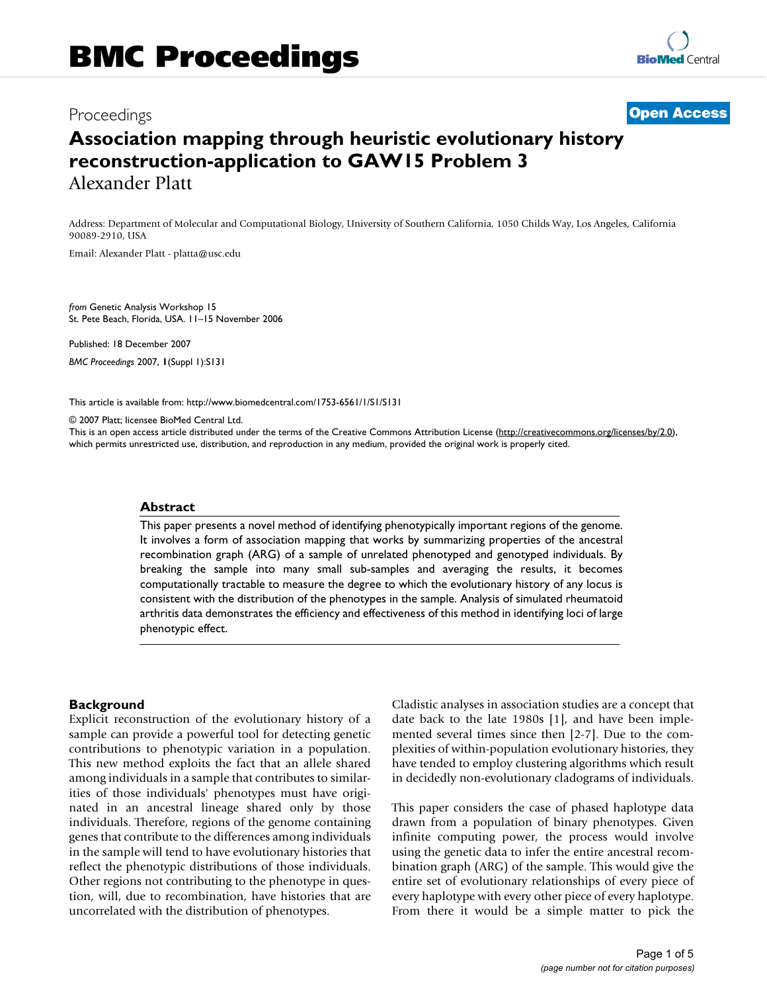# Proceedings **[Open Access](http://www.biomedcentral.com/info/about/charter/)**

# **Association mapping through heuristic evolutionary history reconstruction-application to GAW15 Problem 3** Alexander Platt

Address: Department of Molecular and Computational Biology, University of Southern California, 1050 Childs Way, Los Angeles, California 90089-2910, USA

Email: Alexander Platt - platta@usc.edu

*from* Genetic Analysis Workshop 15 St. Pete Beach, Florida, USA. 11–15 November 2006

Published: 18 December 2007

*BMC Proceedings* 2007, **1**(Suppl 1):S131

[This article is available from: http://www.biomedcentral.com/1753-6561/1/S1/S131](http://www.biomedcentral.com/1753-6561/1/S1/S131)

© 2007 Platt; licensee BioMed Central Ltd.

This is an open access article distributed under the terms of the Creative Commons Attribution License [\(http://creativecommons.org/licenses/by/2.0\)](http://creativecommons.org/licenses/by/2.0), which permits unrestricted use, distribution, and reproduction in any medium, provided the original work is properly cited.

#### **Abstract**

This paper presents a novel method of identifying phenotypically important regions of the genome. It involves a form of association mapping that works by summarizing properties of the ancestral recombination graph (ARG) of a sample of unrelated phenotyped and genotyped individuals. By breaking the sample into many small sub-samples and averaging the results, it becomes computationally tractable to measure the degree to which the evolutionary history of any locus is consistent with the distribution of the phenotypes in the sample. Analysis of simulated rheumatoid arthritis data demonstrates the efficiency and effectiveness of this method in identifying loci of large phenotypic effect.

# **Background**

Explicit reconstruction of the evolutionary history of a sample can provide a powerful tool for detecting genetic contributions to phenotypic variation in a population. This new method exploits the fact that an allele shared among individuals in a sample that contributes to similarities of those individuals' phenotypes must have originated in an ancestral lineage shared only by those individuals. Therefore, regions of the genome containing genes that contribute to the differences among individuals in the sample will tend to have evolutionary histories that reflect the phenotypic distributions of those individuals. Other regions not contributing to the phenotype in question, will, due to recombination, have histories that are uncorrelated with the distribution of phenotypes.

Cladistic analyses in association studies are a concept that date back to the late 1980s [1], and have been implemented several times since then [2-7]. Due to the complexities of within-population evolutionary histories, they have tended to employ clustering algorithms which result in decidedly non-evolutionary cladograms of individuals.

This paper considers the case of phased haplotype data drawn from a population of binary phenotypes. Given infinite computing power, the process would involve using the genetic data to infer the entire ancestral recombination graph (ARG) of the sample. This would give the entire set of evolutionary relationships of every piece of every haplotype with every other piece of every haplotype. From there it would be a simple matter to pick the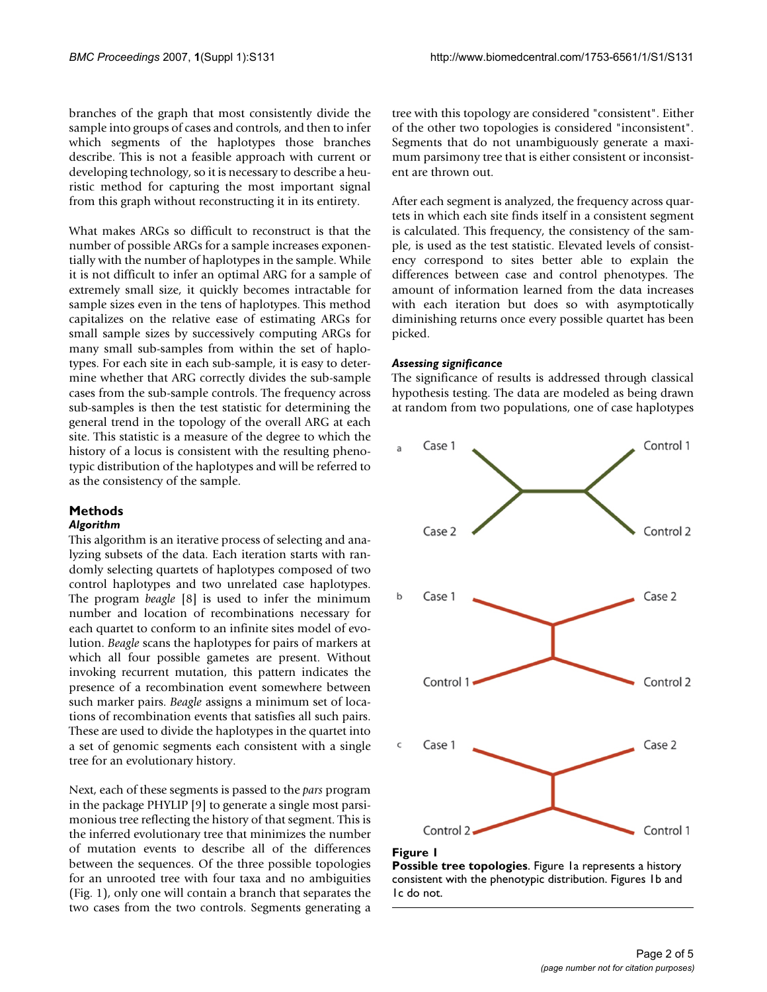branches of the graph that most consistently divide the sample into groups of cases and controls, and then to infer which segments of the haplotypes those branches describe. This is not a feasible approach with current or developing technology, so it is necessary to describe a heuristic method for capturing the most important signal from this graph without reconstructing it in its entirety.

What makes ARGs so difficult to reconstruct is that the number of possible ARGs for a sample increases exponentially with the number of haplotypes in the sample. While it is not difficult to infer an optimal ARG for a sample of extremely small size, it quickly becomes intractable for sample sizes even in the tens of haplotypes. This method capitalizes on the relative ease of estimating ARGs for small sample sizes by successively computing ARGs for many small sub-samples from within the set of haplotypes. For each site in each sub-sample, it is easy to determine whether that ARG correctly divides the sub-sample cases from the sub-sample controls. The frequency across sub-samples is then the test statistic for determining the general trend in the topology of the overall ARG at each site. This statistic is a measure of the degree to which the history of a locus is consistent with the resulting phenotypic distribution of the haplotypes and will be referred to as the consistency of the sample.

# **Methods**

# *Algorithm*

This algorithm is an iterative process of selecting and analyzing subsets of the data. Each iteration starts with randomly selecting quartets of haplotypes composed of two control haplotypes and two unrelated case haplotypes. The program *beagle* [8] is used to infer the minimum number and location of recombinations necessary for each quartet to conform to an infinite sites model of evolution. *Beagle* scans the haplotypes for pairs of markers at which all four possible gametes are present. Without invoking recurrent mutation, this pattern indicates the presence of a recombination event somewhere between such marker pairs. *Beagle* assigns a minimum set of locations of recombination events that satisfies all such pairs. These are used to divide the haplotypes in the quartet into a set of genomic segments each consistent with a single tree for an evolutionary history.

Next, each of these segments is passed to the *pars* program in the package PHYLIP [9] to generate a single most parsimonious tree reflecting the history of that segment. This is the inferred evolutionary tree that minimizes the number of mutation events to describe all of the differences between the sequences. Of the three possible topologies for an unrooted tree with four taxa and no ambiguities (Fig. 1), only one will contain a branch that separates the two cases from the two controls. Segments generating a

tree with this topology are considered "consistent". Either of the other two topologies is considered "inconsistent". Segments that do not unambiguously generate a maximum parsimony tree that is either consistent or inconsistent are thrown out.

After each segment is analyzed, the frequency across quartets in which each site finds itself in a consistent segment is calculated. This frequency, the consistency of the sample, is used as the test statistic. Elevated levels of consistency correspond to sites better able to explain the differences between case and control phenotypes. The amount of information learned from the data increases with each iteration but does so with asymptotically diminishing returns once every possible quartet has been picked.

## *Assessing significance*

The significance of results is addressed through classical hypothesis testing. The data are modeled as being drawn at random from two populations, one of case haplotypes



**Possible tree topologies**. Figure 1a represents a history consistent with the phenotypic distribution. Figures 1b and 1c do not.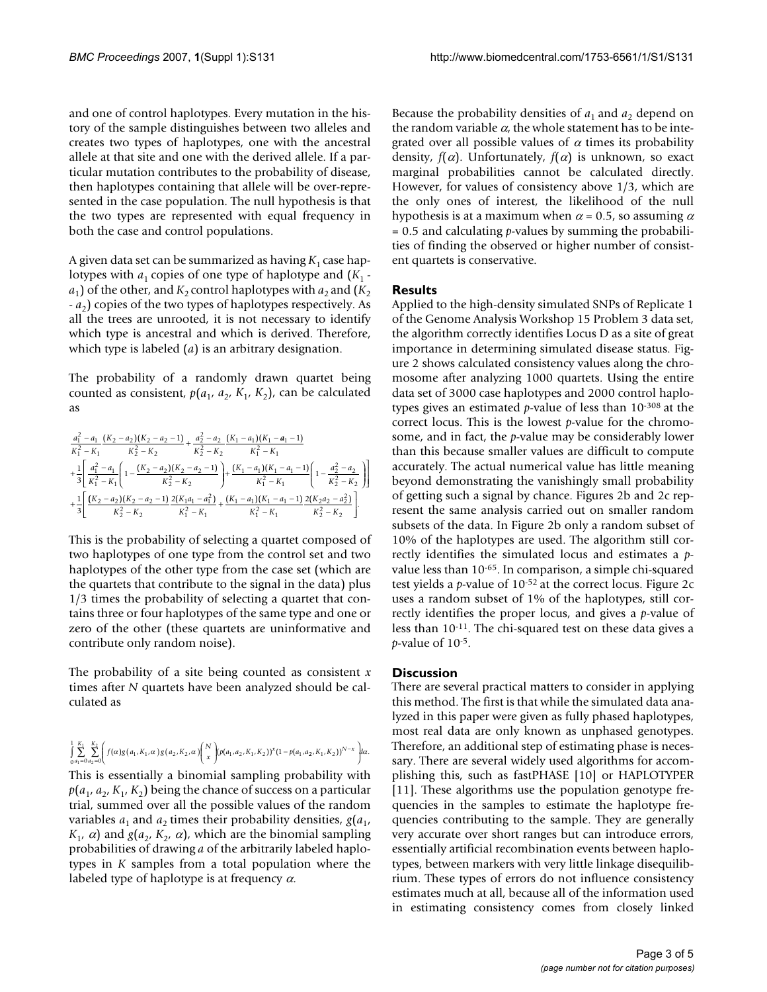and one of control haplotypes. Every mutation in the history of the sample distinguishes between two alleles and creates two types of haplotypes, one with the ancestral allele at that site and one with the derived allele. If a particular mutation contributes to the probability of disease, then haplotypes containing that allele will be over-represented in the case population. The null hypothesis is that the two types are represented with equal frequency in both the case and control populations.

A given data set can be summarized as having  $K_1$  case haplotypes with  $a_1$  copies of one type of haplotype and  $(K_1$  $a_1$ ) of the other, and  $K_2$  control haplotypes with  $a_2$  and  $(K_2)$ - *a*<sub>2</sub>) copies of the two types of haplotypes respectively. As all the trees are unrooted, it is not necessary to identify which type is ancestral and which is derived. Therefore, which type is labeled (*a*) is an arbitrary designation.

The probability of a randomly drawn quartet being counted as consistent,  $p(a_1, a_2, K_1, K_2)$ , can be calculated as

$$
\begin{split} &\frac{a_1^2-a_1}{K_1^2-K_1}\frac{(K_2-a_2)(K_2-a_2-1)}{K_2^2-K_2}+\frac{a_2^2-a_2}{K_2^2-K_2}\frac{(K_1-a_1)(K_1-a_1-1)}{K_1^2-K_1} \\ &+\frac{1}{3}\Bigg[\frac{a_1^2-a_1}{K_1^2-K_1}\Bigg(1-\frac{(K_2-a_2)(K_2-a_2-1)}{K_2^2-K_2}\Bigg)+\frac{(K_1-a_1)(K_1-a_1-1)}{K_1^2-K_1}\Bigg(1-\frac{a_2^2-a_2}{K_2^2-K_2}\Bigg)\Bigg] \\ &+\frac{1}{3}\Bigg[\frac{(K_2-a_2)(K_2-a_2-1)}{K_2^2-K_2}\frac{2(K_1a_1-a_1^2)}{K_1^2-K_1}+\frac{(K_1-a_1)(K_1-a_1-1)}{K_1^2-K_1}\frac{2(K_2a_2-a_2^2)}{K_2^2-K_2}\Bigg]. \end{split}
$$

This is the probability of selecting a quartet composed of two haplotypes of one type from the control set and two haplotypes of the other type from the case set (which are the quartets that contribute to the signal in the data) plus 1/3 times the probability of selecting a quartet that contains three or four haplotypes of the same type and one or zero of the other (these quartets are uninformative and contribute only random noise).

The probability of a site being counted as consistent *x* times after *N* quartets have been analyzed should be calculated as

$$
\int\limits_{0}^{1}\sum\limits_{a_1=0}^{K_1}\sum\limits_{a_2=0}^{K_2} \Biggl( f(\alpha)g\bigl(\,a_1,K_1,\alpha\,\bigr)\,g\bigl(\,a_2,K_2,\alpha\,\bigr) \binom{N}{x} \bigl(p(a_1,a_2,K_1,K_2)\bigr)^x(1-\rho(a_1,a_2,K_1,K_2))^{N-x} \Biggr) d\alpha.
$$

This is essentially a binomial sampling probability with  $p(a_1, a_2, K_1, K_2)$  being the chance of success on a particular trial, summed over all the possible values of the random variables  $a_1$  and  $a_2$  times their probability densities,  $g(a_1, a_2)$ *K*<sub>1</sub>,  $\alpha$ ) and *g*( $a_2$ , *K*<sub>2</sub>,  $\alpha$ ), which are the binomial sampling probabilities of drawing *a* of the arbitrarily labeled haplotypes in *K* samples from a total population where the labeled type of haplotype is at frequency  $\alpha$ .

Because the probability densities of  $a_1$  and  $a_2$  depend on the random variable  $\alpha$ , the whole statement has to be integrated over all possible values of  $\alpha$  times its probability density,  $f(\alpha)$ . Unfortunately,  $f(\alpha)$  is unknown, so exact marginal probabilities cannot be calculated directly. However, for values of consistency above 1/3, which are the only ones of interest, the likelihood of the null hypothesis is at a maximum when  $\alpha$  = 0.5, so assuming  $\alpha$ = 0.5 and calculating *p*-values by summing the probabilities of finding the observed or higher number of consistent quartets is conservative.

#### **Results**

Applied to the high-density simulated SNPs of Replicate 1 of the Genome Analysis Workshop 15 Problem 3 data set, the algorithm correctly identifies Locus D as a site of great importance in determining simulated disease status. Figure 2 shows calculated consistency values along the chromosome after analyzing 1000 quartets. Using the entire data set of 3000 case haplotypes and 2000 control haplotypes gives an estimated *p*-value of less than 10-308 at the correct locus. This is the lowest *p*-value for the chromosome, and in fact, the *p*-value may be considerably lower than this because smaller values are difficult to compute accurately. The actual numerical value has little meaning beyond demonstrating the vanishingly small probability of getting such a signal by chance. Figures 2b and 2c represent the same analysis carried out on smaller random subsets of the data. In Figure 2b only a random subset of 10% of the haplotypes are used. The algorithm still correctly identifies the simulated locus and estimates a *p*value less than 10-65. In comparison, a simple chi-squared test yields a *p*-value of 10-52 at the correct locus. Figure 2c uses a random subset of 1% of the haplotypes, still correctly identifies the proper locus, and gives a *p*-value of less than 10-11. The chi-squared test on these data gives a *p*-value of 10-5.

#### **Discussion**

There are several practical matters to consider in applying this method. The first is that while the simulated data analyzed in this paper were given as fully phased haplotypes, most real data are only known as unphased genotypes. Therefore, an additional step of estimating phase is necessary. There are several widely used algorithms for accomplishing this, such as fastPHASE [10] or HAPLOTYPER [11]. These algorithms use the population genotype frequencies in the samples to estimate the haplotype frequencies contributing to the sample. They are generally very accurate over short ranges but can introduce errors, essentially artificial recombination events between haplotypes, between markers with very little linkage disequilibrium. These types of errors do not influence consistency estimates much at all, because all of the information used in estimating consistency comes from closely linked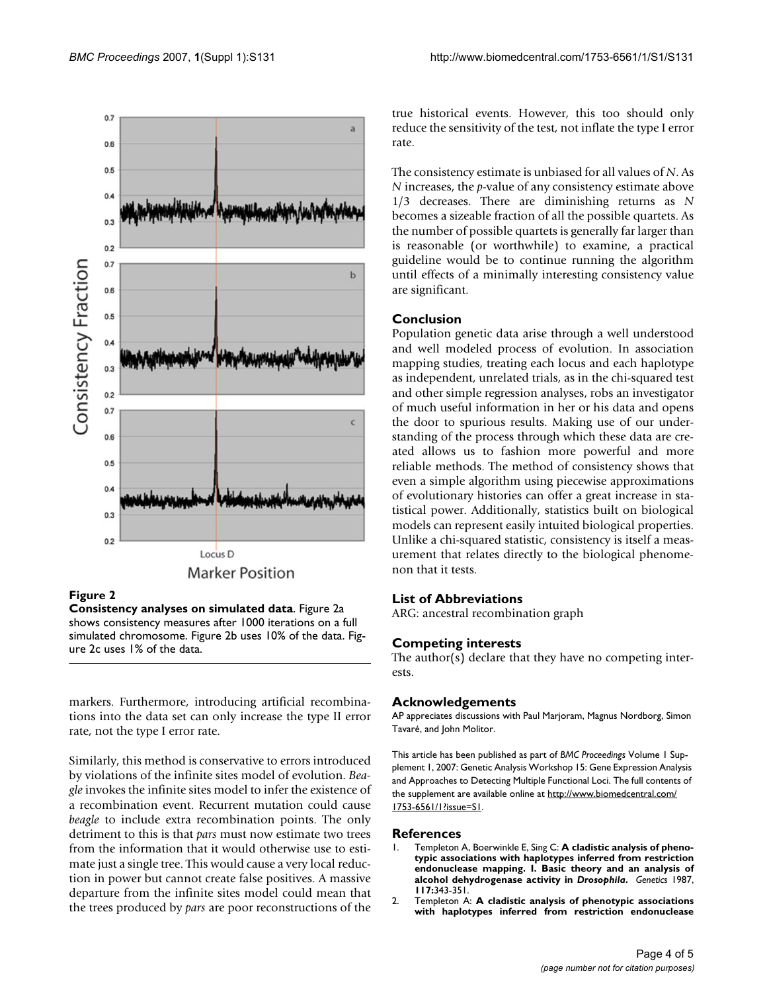

#### **Figure 2**

**Consistency analyses on simulated data**. Figure 2a shows consistency measures after 1000 iterations on a full simulated chromosome. Figure 2b uses 10% of the data. Figure 2c uses 1% of the data.

markers. Furthermore, introducing artificial recombinations into the data set can only increase the type II error rate, not the type I error rate.

Similarly, this method is conservative to errors introduced by violations of the infinite sites model of evolution. *Beagle* invokes the infinite sites model to infer the existence of a recombination event. Recurrent mutation could cause *beagle* to include extra recombination points. The only detriment to this is that *pars* must now estimate two trees from the information that it would otherwise use to estimate just a single tree. This would cause a very local reduction in power but cannot create false positives. A massive departure from the infinite sites model could mean that the trees produced by *pars* are poor reconstructions of the true historical events. However, this too should only reduce the sensitivity of the test, not inflate the type I error rate.

The consistency estimate is unbiased for all values of *N*. As *N* increases, the *p*-value of any consistency estimate above 1/3 decreases. There are diminishing returns as *N* becomes a sizeable fraction of all the possible quartets. As the number of possible quartets is generally far larger than is reasonable (or worthwhile) to examine, a practical guideline would be to continue running the algorithm until effects of a minimally interesting consistency value are significant.

### **Conclusion**

Population genetic data arise through a well understood and well modeled process of evolution. In association mapping studies, treating each locus and each haplotype as independent, unrelated trials, as in the chi-squared test and other simple regression analyses, robs an investigator of much useful information in her or his data and opens the door to spurious results. Making use of our understanding of the process through which these data are created allows us to fashion more powerful and more reliable methods. The method of consistency shows that even a simple algorithm using piecewise approximations of evolutionary histories can offer a great increase in statistical power. Additionally, statistics built on biological models can represent easily intuited biological properties. Unlike a chi-squared statistic, consistency is itself a measurement that relates directly to the biological phenomenon that it tests.

## **List of Abbreviations**

ARG: ancestral recombination graph

### **Competing interests**

The author(s) declare that they have no competing interests.

#### **Acknowledgements**

AP appreciates discussions with Paul Marjoram, Magnus Nordborg, Simon Tavaré, and John Molitor.

This article has been published as part of *BMC Proceedings* Volume 1 Supplement 1, 2007: Genetic Analysis Workshop 15: Gene Expression Analysis and Approaches to Detecting Multiple Functional Loci. The full contents of the supplement are available online at [http://www.biomedcentral.com/](http://www.biomedcentral.com/1753-6561/1?issue=S1) [1753-6561/1?issue=S1.](http://www.biomedcentral.com/1753-6561/1?issue=S1)

#### **References**

- 1. Templeton A, Boerwinkle E, Sing C: **A cladistic analysis of phenotypic associations with haplotypes inferred from restriction endonuclease mapping. I. Basic theory and an analysis of alcohol dehydrogenase activity in** *Drosophila***[.](http://www.ncbi.nlm.nih.gov/entrez/query.fcgi?cmd=Retrieve&db=PubMed&dopt=Abstract&list_uids=2822535)** *Genetics* 1987, **117:**343-351.
- 2. Templeton A: **[A cladistic analysis of phenotypic associations](http://www.ncbi.nlm.nih.gov/entrez/query.fcgi?cmd=Retrieve&db=PubMed&dopt=Abstract&list_uids=7635303) [with haplotypes inferred from restriction endonuclease](http://www.ncbi.nlm.nih.gov/entrez/query.fcgi?cmd=Retrieve&db=PubMed&dopt=Abstract&list_uids=7635303)**